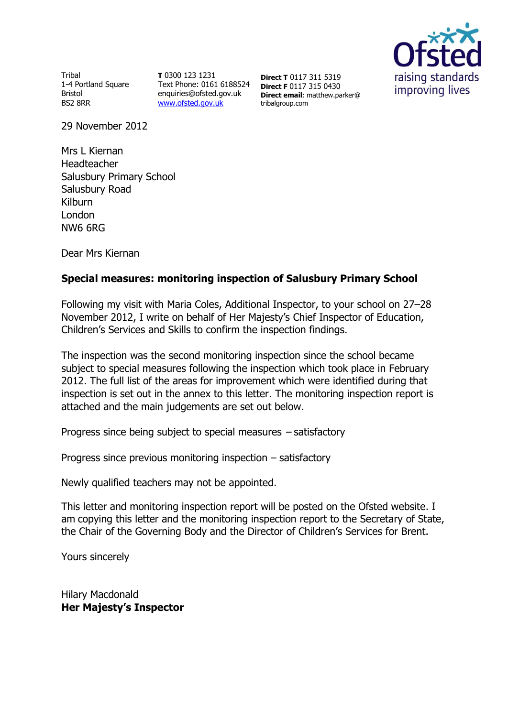

**Tribal** 1-4 Portland Square Bristol BS2 8RR

**T** 0300 123 1231 Text Phone: 0161 6188524 enquiries@ofsted.gov.uk [www.ofsted.gov.uk](http://www.ofsted.gov.uk/)

**Direct T** 0117 311 5319 **Direct F** 0117 315 0430 **Direct email**: matthew.parker@ tribalgroup.com

29 November 2012

Mrs L Kiernan Headteacher Salusbury Primary School Salusbury Road Kilburn London NW6 6RG

Dear Mrs Kiernan

# **Special measures: monitoring inspection of Salusbury Primary School**

Following my visit with Maria Coles, Additional Inspector, to your school on 27–28 November 2012, I write on behalf of Her Majesty's Chief Inspector of Education, Children's Services and Skills to confirm the inspection findings.

The inspection was the second monitoring inspection since the school became subject to special measures following the inspection which took place in February 2012. The full list of the areas for improvement which were identified during that inspection is set out in the annex to this letter. The monitoring inspection report is attached and the main judgements are set out below.

Progress since being subject to special measures – satisfactory

Progress since previous monitoring inspection – satisfactory

Newly qualified teachers may not be appointed.

This letter and monitoring inspection report will be posted on the Ofsted website. I am copying this letter and the monitoring inspection report to the Secretary of State, the Chair of the Governing Body and the Director of Children's Services for Brent.

Yours sincerely

Hilary Macdonald **Her Majesty's Inspector**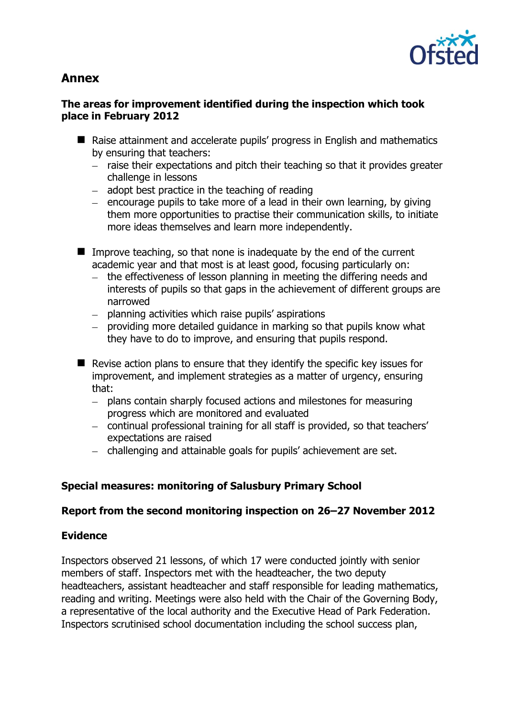

# **Annex**

# **The areas for improvement identified during the inspection which took place in February 2012**

- Raise attainment and accelerate pupils' progress in English and mathematics by ensuring that teachers:
	- $-$  raise their expectations and pitch their teaching so that it provides greater challenge in lessons
	- $-$  adopt best practice in the teaching of reading
	- $-$  encourage pupils to take more of a lead in their own learning, by giving them more opportunities to practise their communication skills, to initiate more ideas themselves and learn more independently.
- $\blacksquare$  Improve teaching, so that none is inadequate by the end of the current academic year and that most is at least good, focusing particularly on:
	- the effectiveness of lesson planning in meeting the differing needs and interests of pupils so that gaps in the achievement of different groups are narrowed
	- $-$  planning activities which raise pupils' aspirations
	- $-$  providing more detailed guidance in marking so that pupils know what they have to do to improve, and ensuring that pupils respond.
- $\blacksquare$  Revise action plans to ensure that they identify the specific key issues for improvement, and implement strategies as a matter of urgency, ensuring that:
	- plans contain sharply focused actions and milestones for measuring  $\equiv$  . progress which are monitored and evaluated
	- continual professional training for all staff is provided, so that teachers' expectations are raised
	- challenging and attainable goals for pupils' achievement are set.

# **Special measures: monitoring of Salusbury Primary School**

# **Report from the second monitoring inspection on 26–27 November 2012**

# **Evidence**

Inspectors observed 21 lessons, of which 17 were conducted jointly with senior members of staff. Inspectors met with the headteacher, the two deputy headteachers, assistant headteacher and staff responsible for leading mathematics, reading and writing. Meetings were also held with the Chair of the Governing Body, a representative of the local authority and the Executive Head of Park Federation. Inspectors scrutinised school documentation including the school success plan,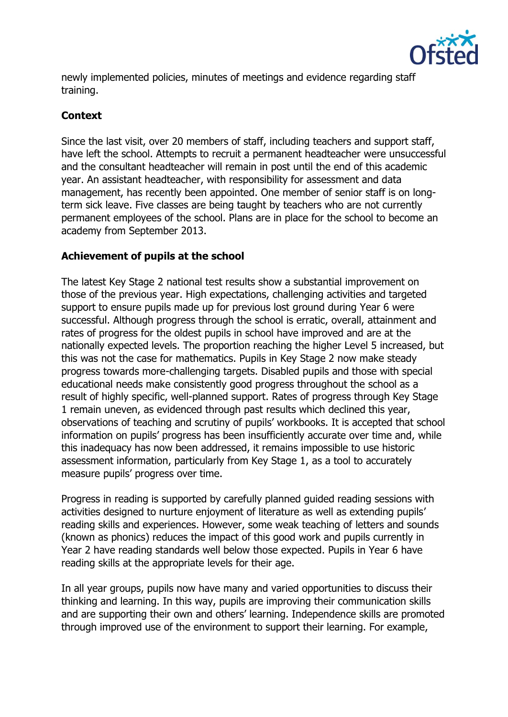

newly implemented policies, minutes of meetings and evidence regarding staff training.

### **Context**

Since the last visit, over 20 members of staff, including teachers and support staff, have left the school. Attempts to recruit a permanent headteacher were unsuccessful and the consultant headteacher will remain in post until the end of this academic year. An assistant headteacher, with responsibility for assessment and data management, has recently been appointed. One member of senior staff is on longterm sick leave. Five classes are being taught by teachers who are not currently permanent employees of the school. Plans are in place for the school to become an academy from September 2013.

### **Achievement of pupils at the school**

The latest Key Stage 2 national test results show a substantial improvement on those of the previous year. High expectations, challenging activities and targeted support to ensure pupils made up for previous lost ground during Year 6 were successful. Although progress through the school is erratic, overall, attainment and rates of progress for the oldest pupils in school have improved and are at the nationally expected levels. The proportion reaching the higher Level 5 increased, but this was not the case for mathematics. Pupils in Key Stage 2 now make steady progress towards more-challenging targets. Disabled pupils and those with special educational needs make consistently good progress throughout the school as a result of highly specific, well-planned support. Rates of progress through Key Stage 1 remain uneven, as evidenced through past results which declined this year, observations of teaching and scrutiny of pupils' workbooks. It is accepted that school information on pupils' progress has been insufficiently accurate over time and, while this inadequacy has now been addressed, it remains impossible to use historic assessment information, particularly from Key Stage 1, as a tool to accurately measure pupils' progress over time.

Progress in reading is supported by carefully planned guided reading sessions with activities designed to nurture enjoyment of literature as well as extending pupils' reading skills and experiences. However, some weak teaching of letters and sounds (known as phonics) reduces the impact of this good work and pupils currently in Year 2 have reading standards well below those expected. Pupils in Year 6 have reading skills at the appropriate levels for their age.

In all year groups, pupils now have many and varied opportunities to discuss their thinking and learning. In this way, pupils are improving their communication skills and are supporting their own and others' learning. Independence skills are promoted through improved use of the environment to support their learning. For example,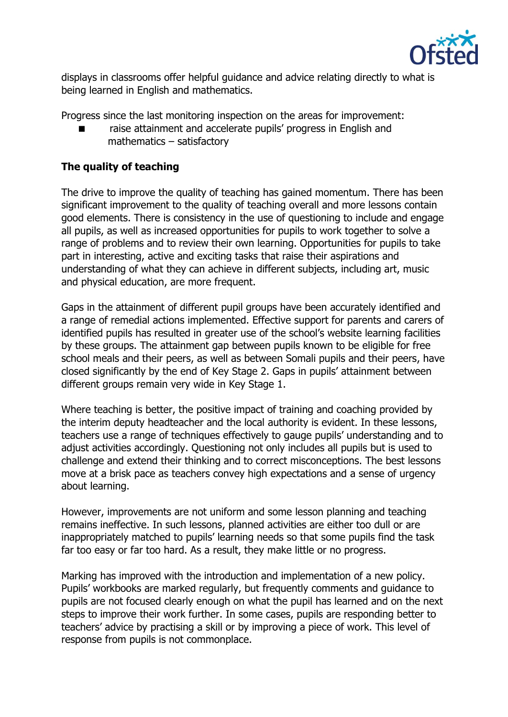

displays in classrooms offer helpful guidance and advice relating directly to what is being learned in English and mathematics.

Progress since the last monitoring inspection on the areas for improvement:

 raise attainment and accelerate pupils' progress in English and mathematics – satisfactory

## **The quality of teaching**

The drive to improve the quality of teaching has gained momentum. There has been significant improvement to the quality of teaching overall and more lessons contain good elements. There is consistency in the use of questioning to include and engage all pupils, as well as increased opportunities for pupils to work together to solve a range of problems and to review their own learning. Opportunities for pupils to take part in interesting, active and exciting tasks that raise their aspirations and understanding of what they can achieve in different subjects, including art, music and physical education, are more frequent.

Gaps in the attainment of different pupil groups have been accurately identified and a range of remedial actions implemented. Effective support for parents and carers of identified pupils has resulted in greater use of the school's website learning facilities by these groups. The attainment gap between pupils known to be eligible for free school meals and their peers, as well as between Somali pupils and their peers, have closed significantly by the end of Key Stage 2. Gaps in pupils' attainment between different groups remain very wide in Key Stage 1.

Where teaching is better, the positive impact of training and coaching provided by the interim deputy headteacher and the local authority is evident. In these lessons, teachers use a range of techniques effectively to gauge pupils' understanding and to adjust activities accordingly. Questioning not only includes all pupils but is used to challenge and extend their thinking and to correct misconceptions. The best lessons move at a brisk pace as teachers convey high expectations and a sense of urgency about learning.

However, improvements are not uniform and some lesson planning and teaching remains ineffective. In such lessons, planned activities are either too dull or are inappropriately matched to pupils' learning needs so that some pupils find the task far too easy or far too hard. As a result, they make little or no progress.

Marking has improved with the introduction and implementation of a new policy. Pupils' workbooks are marked regularly, but frequently comments and guidance to pupils are not focused clearly enough on what the pupil has learned and on the next steps to improve their work further. In some cases, pupils are responding better to teachers' advice by practising a skill or by improving a piece of work. This level of response from pupils is not commonplace.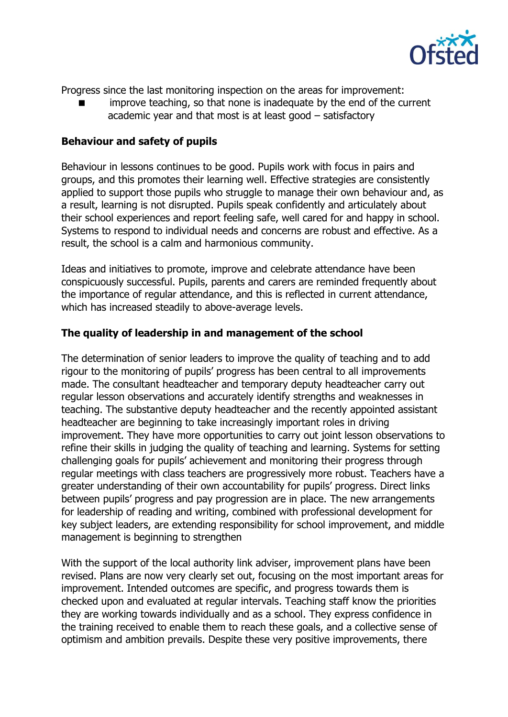

Progress since the last monitoring inspection on the areas for improvement:

 improve teaching, so that none is inadequate by the end of the current academic year and that most is at least good – satisfactory

#### **Behaviour and safety of pupils**

Behaviour in lessons continues to be good. Pupils work with focus in pairs and groups, and this promotes their learning well. Effective strategies are consistently applied to support those pupils who struggle to manage their own behaviour and, as a result, learning is not disrupted. Pupils speak confidently and articulately about their school experiences and report feeling safe, well cared for and happy in school. Systems to respond to individual needs and concerns are robust and effective. As a result, the school is a calm and harmonious community.

Ideas and initiatives to promote, improve and celebrate attendance have been conspicuously successful. Pupils, parents and carers are reminded frequently about the importance of regular attendance, and this is reflected in current attendance, which has increased steadily to above-average levels.

#### **The quality of leadership in and management of the school**

The determination of senior leaders to improve the quality of teaching and to add rigour to the monitoring of pupils' progress has been central to all improvements made. The consultant headteacher and temporary deputy headteacher carry out regular lesson observations and accurately identify strengths and weaknesses in teaching. The substantive deputy headteacher and the recently appointed assistant headteacher are beginning to take increasingly important roles in driving improvement. They have more opportunities to carry out joint lesson observations to refine their skills in judging the quality of teaching and learning. Systems for setting challenging goals for pupils' achievement and monitoring their progress through regular meetings with class teachers are progressively more robust. Teachers have a greater understanding of their own accountability for pupils' progress. Direct links between pupils' progress and pay progression are in place. The new arrangements for leadership of reading and writing, combined with professional development for key subject leaders, are extending responsibility for school improvement, and middle management is beginning to strengthen

With the support of the local authority link adviser, improvement plans have been revised. Plans are now very clearly set out, focusing on the most important areas for improvement. Intended outcomes are specific, and progress towards them is checked upon and evaluated at regular intervals. Teaching staff know the priorities they are working towards individually and as a school. They express confidence in the training received to enable them to reach these goals, and a collective sense of optimism and ambition prevails. Despite these very positive improvements, there